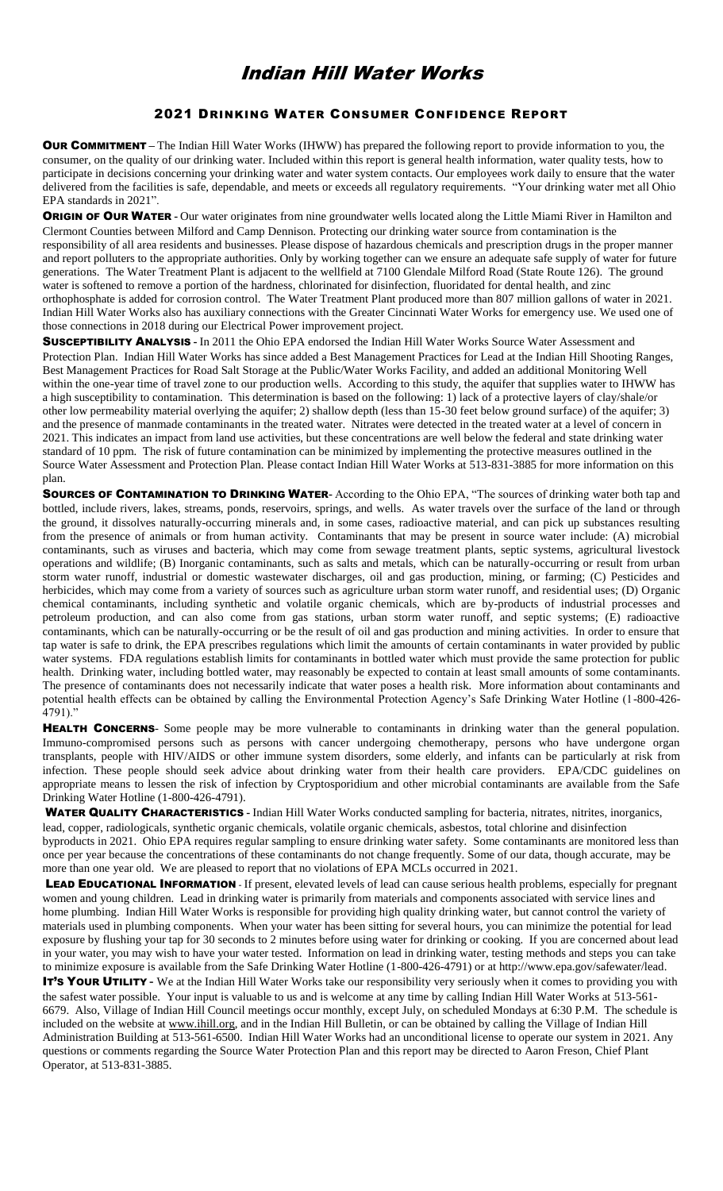## Indian Hill Water Works

## 2021 DRINKING WATER CONSUMER CONFIDENCE REPORT

**OUR COMMITMENT** – The Indian Hill Water Works (IHWW) has prepared the following report to provide information to you, the consumer, on the quality of our drinking water. Included within this report is general health information, water quality tests, how to participate in decisions concerning your drinking water and water system contacts. Our employees work daily to ensure that the water delivered from the facilities is safe, dependable, and meets or exceeds all regulatory requirements. "Your drinking water met all Ohio EPA standards in 2021".

**ORIGIN OF OUR WATER -** Our water originates from nine groundwater wells located along the Little Miami River in Hamilton and Clermont Counties between Milford and Camp Dennison. Protecting our drinking water source from contamination is the responsibility of all area residents and businesses. Please dispose of hazardous chemicals and prescription drugs in the proper manner and report polluters to the appropriate authorities. Only by working together can we ensure an adequate safe supply of water for future generations. The Water Treatment Plant is adjacent to the wellfield at 7100 Glendale Milford Road (State Route 126). The ground water is softened to remove a portion of the hardness, chlorinated for disinfection, fluoridated for dental health, and zinc orthophosphate is added for corrosion control. The Water Treatment Plant produced more than 807 million gallons of water in 2021. Indian Hill Water Works also has auxiliary connections with the Greater Cincinnati Water Works for emergency use. We used one of those connections in 2018 during our Electrical Power improvement project.

SUSCEPTIBILITY ANALYSIS **-** In 2011 the Ohio EPA endorsed the Indian Hill Water Works Source Water Assessment and Protection Plan. Indian Hill Water Works has since added a Best Management Practices for Lead at the Indian Hill Shooting Ranges, Best Management Practices for Road Salt Storage at the Public/Water Works Facility, and added an additional Monitoring Well within the one-year time of travel zone to our production wells. According to this study, the aquifer that supplies water to IHWW has a high susceptibility to contamination. This determination is based on the following: 1) lack of a protective layers of clay/shale/or other low permeability material overlying the aquifer; 2) shallow depth (less than 15-30 feet below ground surface) of the aquifer; 3) and the presence of manmade contaminants in the treated water. Nitrates were detected in the treated water at a level of concern in 2021. This indicates an impact from land use activities, but these concentrations are well below the federal and state drinking water standard of 10 ppm. The risk of future contamination can be minimized by implementing the protective measures outlined in the Source Water Assessment and Protection Plan. Please contact Indian Hill Water Works at 513-831-3885 for more information on this plan.

SOURCES OF CONTAMINATION TO DRINKING WATER**-** According to the Ohio EPA, "The sources of drinking water both tap and bottled, include rivers, lakes, streams, ponds, reservoirs, springs, and wells. As water travels over the surface of the land or through the ground, it dissolves naturally-occurring minerals and, in some cases, radioactive material, and can pick up substances resulting from the presence of animals or from human activity. Contaminants that may be present in source water include: (A) microbial contaminants, such as viruses and bacteria, which may come from sewage treatment plants, septic systems, agricultural livestock operations and wildlife; (B) Inorganic contaminants, such as salts and metals, which can be naturally-occurring or result from urban storm water runoff, industrial or domestic wastewater discharges, oil and gas production, mining, or farming; (C) Pesticides and herbicides, which may come from a variety of sources such as agriculture urban storm water runoff, and residential uses; (D) Organic chemical contaminants, including synthetic and volatile organic chemicals, which are by-products of industrial processes and petroleum production, and can also come from gas stations, urban storm water runoff, and septic systems; (E) radioactive contaminants, which can be naturally-occurring or be the result of oil and gas production and mining activities. In order to ensure that tap water is safe to drink, the EPA prescribes regulations which limit the amounts of certain contaminants in water provided by public water systems. FDA regulations establish limits for contaminants in bottled water which must provide the same protection for public health. Drinking water, including bottled water, may reasonably be expected to contain at least small amounts of some contaminants. The presence of contaminants does not necessarily indicate that water poses a health risk. More information about contaminants and potential health effects can be obtained by calling the Environmental Protection Agency's Safe Drinking Water Hotline (1-800-426- 4791)."

**HEALTH CONCERNS**- Some people may be more vulnerable to contaminants in drinking water than the general population. Immuno-compromised persons such as persons with cancer undergoing chemotherapy, persons who have undergone organ transplants, people with HIV/AIDS or other immune system disorders, some elderly, and infants can be particularly at risk from infection. These people should seek advice about drinking water from their health care providers. EPA/CDC guidelines on appropriate means to lessen the risk of infection by Cryptosporidium and other microbial contaminants are available from the Safe Drinking Water Hotline (1-800-426-4791).

WATER QUALITY CHARACTERISTICS **-** Indian Hill Water Works conducted sampling for bacteria, nitrates, nitrites, inorganics, lead, copper, radiologicals, synthetic organic chemicals, volatile organic chemicals, asbestos, total chlorine and disinfection byproducts in 2021. Ohio EPA requires regular sampling to ensure drinking water safety. Some contaminants are monitored less than once per year because the concentrations of these contaminants do not change frequently. Some of our data, though accurate, may be more than one year old. We are pleased to report that no violations of EPA MCLs occurred in 2021.

LEAD EDUCATIONAL INFORMATION - If present, elevated levels of lead can cause serious health problems, especially for pregnant women and young children. Lead in drinking water is primarily from materials and components associated with service lines and home plumbing. Indian Hill Water Works is responsible for providing high quality drinking water, but cannot control the variety of materials used in plumbing components. When your water has been sitting for several hours, you can minimize the potential for lead exposure by flushing your tap for 30 seconds to 2 minutes before using water for drinking or cooking. If you are concerned about lead in your water, you may wish to have your water tested. Information on lead in drinking water, testing methods and steps you can take to minimize exposure is available from the Safe Drinking Water Hotline (1-800-426-4791) or at http://www.epa.gov/safewater/lead.

**IT'S YOUR UTILITY -** We at the Indian Hill Water Works take our responsibility very seriously when it comes to providing you with the safest water possible. Your input is valuable to us and is welcome at any time by calling Indian Hill Water Works at 513-561- 6679. Also, Village of Indian Hill Council meetings occur monthly, except July, on scheduled Mondays at 6:30 P.M. The schedule is included on the website at [www.ihill.org,](http://www.ihill.org/) and in the Indian Hill Bulletin, or can be obtained by calling the Village of Indian Hill Administration Building at 513-561-6500. Indian Hill Water Works had an unconditional license to operate our system in 2021. Any questions or comments regarding the Source Water Protection Plan and this report may be directed to Aaron Freson, Chief Plant Operator, at 513-831-3885.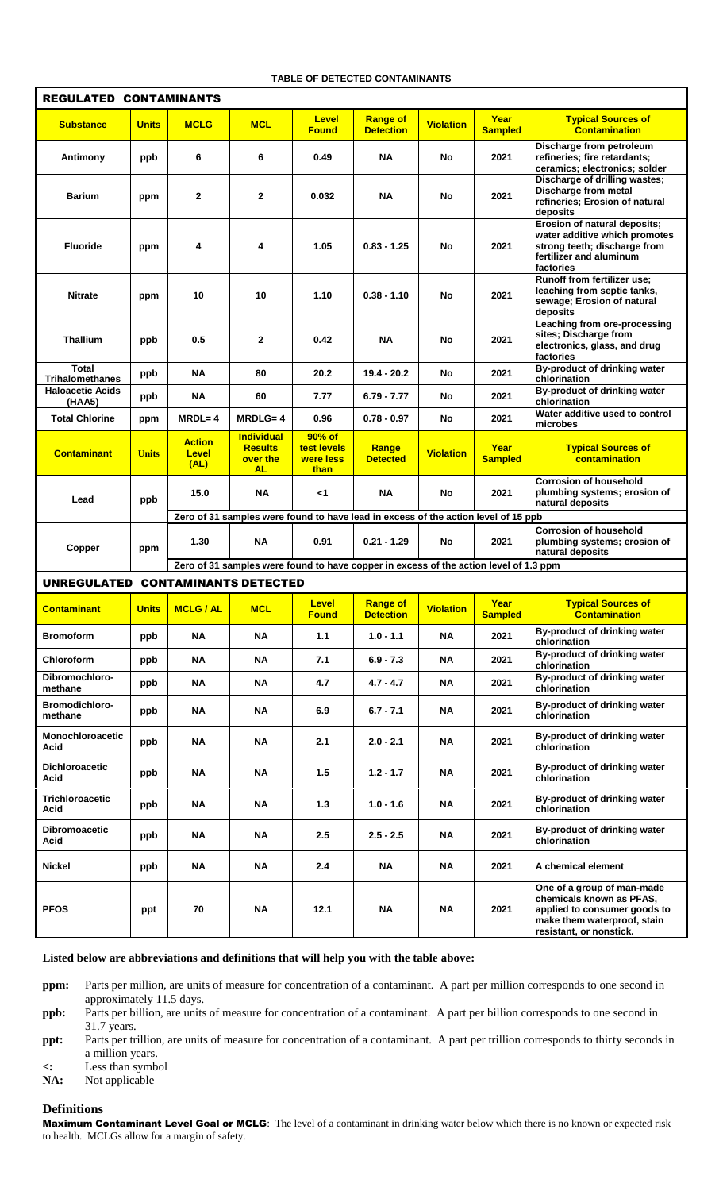## **TABLE OF DETECTED CONTAMINANTS**

| <b>REGULATED CONTAMINANTS</b>                                                                                              |              |                                       |                                                              |                                              |                                     |                  |                        |                                                                                                                                                  |
|----------------------------------------------------------------------------------------------------------------------------|--------------|---------------------------------------|--------------------------------------------------------------|----------------------------------------------|-------------------------------------|------------------|------------------------|--------------------------------------------------------------------------------------------------------------------------------------------------|
| <b>Substance</b>                                                                                                           | <b>Units</b> | <b>MCLG</b>                           | <b>MCL</b>                                                   | <b>Level</b><br><b>Found</b>                 | <b>Range of</b><br><b>Detection</b> | <b>Violation</b> | Year<br><b>Sampled</b> | <b>Typical Sources of</b><br><b>Contamination</b>                                                                                                |
| Antimony                                                                                                                   | ppb          | 6                                     | 6                                                            | 0.49                                         | <b>NA</b>                           | <b>No</b>        | 2021                   | Discharge from petroleum<br>refineries; fire retardants;<br>ceramics; electronics; solder                                                        |
| <b>Barium</b>                                                                                                              | ppm          | 2                                     | $\mathbf{2}$                                                 | 0.032                                        | <b>NA</b>                           | No               | 2021                   | Discharge of drilling wastes;<br>Discharge from metal<br>refineries; Erosion of natural<br>deposits                                              |
| <b>Fluoride</b>                                                                                                            | ppm          | 4                                     | 4                                                            | 1.05                                         | $0.83 - 1.25$                       | No               | 2021                   | Erosion of natural deposits;<br>water additive which promotes<br>strong teeth; discharge from<br>fertilizer and aluminum<br>factories            |
| <b>Nitrate</b>                                                                                                             | ppm          | 10                                    | 10                                                           | 1.10                                         | $0.38 - 1.10$                       | No               | 2021                   | Runoff from fertilizer use;<br>leaching from septic tanks,<br>sewage; Erosion of natural<br>deposits                                             |
| <b>Thallium</b>                                                                                                            | ppb          | 0.5                                   | $\mathbf{2}$                                                 | 0.42                                         | <b>NA</b>                           | No               | 2021                   | Leaching from ore-processing<br>sites; Discharge from<br>electronics, glass, and drug<br>factories                                               |
| <b>Total</b><br><b>Trihalomethanes</b>                                                                                     | ppb          | <b>NA</b>                             | 80                                                           | 20.2                                         | $19.4 - 20.2$                       | <b>No</b>        | 2021                   | By-product of drinking water<br>chlorination                                                                                                     |
| <b>Haloacetic Acids</b><br>(HAA5)                                                                                          | ppb          | <b>NA</b>                             | 60                                                           | 7.77                                         | $6.79 - 7.77$                       | No               | 2021                   | By-product of drinking water<br>chlorination                                                                                                     |
| <b>Total Chlorine</b>                                                                                                      | ppm          | $MRDL = 4$                            | $MRDLG = 4$                                                  | 0.96                                         | $0.78 - 0.97$                       | No               | 2021                   | Water additive used to control<br>microbes                                                                                                       |
| <b>Contaminant</b>                                                                                                         | <b>Units</b> | <b>Action</b><br><b>Level</b><br>(AL) | <b>Individual</b><br><b>Results</b><br>over the<br><b>AL</b> | $90%$ of<br>test levels<br>were less<br>than | Range<br><b>Detected</b>            | <b>Violation</b> | Year<br><b>Sampled</b> | <b>Typical Sources of</b><br>contamination                                                                                                       |
| Lead                                                                                                                       | ppb          | 15.0                                  | ΝA                                                           | <1                                           | <b>NA</b>                           | No               | 2021                   | <b>Corrosion of household</b><br>plumbing systems; erosion of<br>natural deposits                                                                |
| Zero of 31 samples were found to have lead in excess of the action level of 15 ppb                                         |              |                                       |                                                              |                                              |                                     |                  |                        |                                                                                                                                                  |
| Copper                                                                                                                     | ppm          | 1.30                                  | <b>NA</b>                                                    | 0.91                                         | $0.21 - 1.29$                       | No               | 2021                   | <b>Corrosion of household</b><br>plumbing systems; erosion of<br>natural deposits                                                                |
| Zero of 31 samples were found to have copper in excess of the action level of 1.3 ppm<br>UNREGULATED CONTAMINANTS DETECTED |              |                                       |                                                              |                                              |                                     |                  |                        |                                                                                                                                                  |
| <b>Contaminant</b>                                                                                                         | <b>Units</b> | <b>MCLG / AL</b>                      | <b>MCL</b>                                                   | <b>Level</b><br><b>Found</b>                 | <b>Range of</b><br><b>Detection</b> | <b>Violation</b> | Year<br><b>Sampled</b> | <b>Typical Sources of</b><br><b>Contamination</b>                                                                                                |
| <b>Bromoform</b>                                                                                                           | ppb          | <b>NA</b>                             | <b>NA</b>                                                    | 1.1                                          | $1.0 - 1.1$                         | ΝA               | 2021                   | By-product of drinking water<br>chlorination                                                                                                     |
| Chloroform                                                                                                                 | ppb          | ΝA                                    | <b>NA</b>                                                    | 7.1                                          | $6.9 - 7.3$                         | ΝA               | 2021                   | By-product of drinking water<br>chlorination                                                                                                     |
| Dibromochloro-<br>methane                                                                                                  | ppb          | ΝA                                    | ΝA                                                           | 4.7                                          | 4.7 - 4.7                           | ΝA               | 2021                   | By-product of drinking water<br>chlorination                                                                                                     |
| Bromodichloro-<br>methane                                                                                                  | ppb          | ΝA                                    | <b>NA</b>                                                    | 6.9                                          | $6.7 - 7.1$                         | ΝA               | 2021                   | By-product of drinking water<br>chlorination                                                                                                     |
| <b>Monochloroacetic</b><br>Acid                                                                                            | ppb          | ΝA                                    | ΝA                                                           | 2.1                                          | $2.0 - 2.1$                         | ΝA               | 2021                   | By-product of drinking water<br>chlorination                                                                                                     |
| Dichloroacetic<br>Acid                                                                                                     | ppb          | <b>NA</b>                             | <b>NA</b>                                                    | 1.5                                          | $1.2 - 1.7$                         | ΝA               | 2021                   | By-product of drinking water<br>chlorination                                                                                                     |
| <b>Trichloroacetic</b><br>Acid                                                                                             | ppb          | <b>NA</b>                             | <b>NA</b>                                                    | 1.3                                          | $1.0 - 1.6$                         | <b>NA</b>        | 2021                   | By-product of drinking water<br>chlorination                                                                                                     |
| <b>Dibromoacetic</b><br>Acid                                                                                               | ppb          | <b>NA</b>                             | ΝA                                                           | 2.5                                          | $2.5 - 2.5$                         | ΝA               | 2021                   | By-product of drinking water<br>chlorination                                                                                                     |
| Nickel                                                                                                                     | ppb          | ΝA                                    | ΝA                                                           | 2.4                                          | ΝA                                  | ΝA               | 2021                   | A chemical element                                                                                                                               |
| <b>PFOS</b>                                                                                                                | ppt          | 70                                    | ΝA                                                           | 12.1                                         | <b>NA</b>                           | ΝA               | 2021                   | One of a group of man-made<br>chemicals known as PFAS,<br>applied to consumer goods to<br>make them waterproof, stain<br>resistant, or nonstick. |

**Listed below are abbreviations and definitions that will help you with the table above:**

**ppm:** Parts per million, are units of measure for concentration of a contaminant. A part per million corresponds to one second in approximately 11.5 days.

**ppb:** Parts per billion, are units of measure for concentration of a contaminant. A part per billion corresponds to one second in 31.7 years.

**ppt:** Parts per trillion, are units of measure for concentration of a contaminant. A part per trillion corresponds to thirty seconds in a million years.

**<:** Less than symbol

Not applicable

## **Definitions**

Maximum Contaminant Level Goal or MCLG: The level of a contaminant in drinking water below which there is no known or expected risk to health. MCLGs allow for a margin of safety.